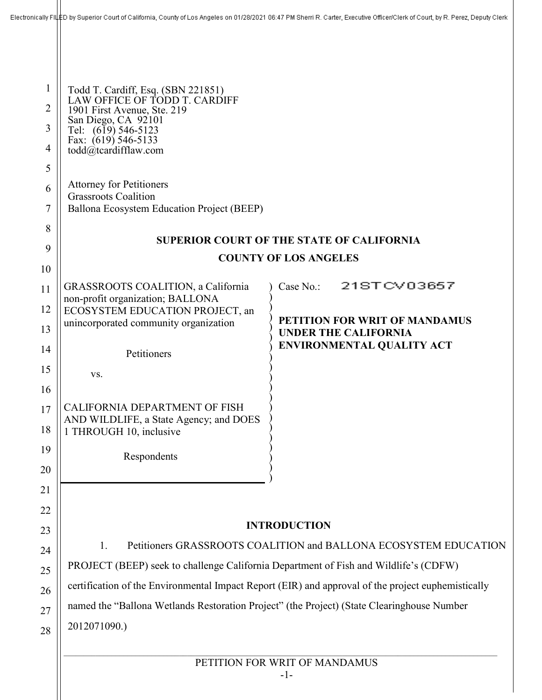| 1<br>$\overline{2}$<br>3<br>$\overline{4}$<br>5<br>6<br>7<br>8<br>9<br>10<br>11<br>12<br>13<br>14<br>15<br>16<br>17<br>18<br>19<br>20<br>21 | Electronically Fill ED by Superior Court of California, County of Los Angeles on 01/28/2021 06:47 PM Sherri R. Carter, Executive Officer/Clerk of Court, by R. Perez, Deputy Clerk<br>Todd T. Cardiff, Esq. (SBN 221851)<br>LAW OFFICE OF TODD T. CARDIFF<br>1901 First Avenue, Ste. 219<br>San Diego, CA 92101<br>Tel: (619) 546-5123<br>Fax: (619) 546-5133<br>todd $(\widehat{a})$ tcardifflaw.com<br><b>Attorney for Petitioners</b><br><b>Grassroots Coalition</b><br>Ballona Ecosystem Education Project (BEEP)<br><b>SUPERIOR COURT OF THE STATE OF CALIFORNIA</b><br><b>COUNTY OF LOS ANGELES</b><br>21STCV03657<br>GRASSROOTS COALITION, a California<br>Case No.:<br>non-profit organization; BALLONA<br>ECOSYSTEM EDUCATION PROJECT, an<br>PETITION FOR WRIT OF MANDAMUS<br>unincorporated community organization<br><b>UNDER THE CALIFORNIA</b><br><b>ENVIRONMENTAL QUALITY ACT</b><br>Petitioners<br>VS.<br>CALIFORNIA DEPARTMENT OF FISH<br>AND WILDLIFE, a State Agency; and DOES<br>1 THROUGH 10, inclusive<br>Respondents<br><b>INTRODUCTION</b> |                                                                                                    |  |
|---------------------------------------------------------------------------------------------------------------------------------------------|-------------------------------------------------------------------------------------------------------------------------------------------------------------------------------------------------------------------------------------------------------------------------------------------------------------------------------------------------------------------------------------------------------------------------------------------------------------------------------------------------------------------------------------------------------------------------------------------------------------------------------------------------------------------------------------------------------------------------------------------------------------------------------------------------------------------------------------------------------------------------------------------------------------------------------------------------------------------------------------------------------------------------------------------------------------------|----------------------------------------------------------------------------------------------------|--|
| 22<br>23                                                                                                                                    |                                                                                                                                                                                                                                                                                                                                                                                                                                                                                                                                                                                                                                                                                                                                                                                                                                                                                                                                                                                                                                                                   |                                                                                                    |  |
|                                                                                                                                             | Petitioners GRASSROOTS COALITION and BALLONA ECOSYSTEM EDUCATION<br>1.                                                                                                                                                                                                                                                                                                                                                                                                                                                                                                                                                                                                                                                                                                                                                                                                                                                                                                                                                                                            |                                                                                                    |  |
| 24                                                                                                                                          | PROJECT (BEEP) seek to challenge California Department of Fish and Wildlife's (CDFW)                                                                                                                                                                                                                                                                                                                                                                                                                                                                                                                                                                                                                                                                                                                                                                                                                                                                                                                                                                              |                                                                                                    |  |
| 25                                                                                                                                          |                                                                                                                                                                                                                                                                                                                                                                                                                                                                                                                                                                                                                                                                                                                                                                                                                                                                                                                                                                                                                                                                   | certification of the Environmental Impact Report (EIR) and approval of the project euphemistically |  |
| 26                                                                                                                                          | named the "Ballona Wetlands Restoration Project" (the Project) (State Clearinghouse Number                                                                                                                                                                                                                                                                                                                                                                                                                                                                                                                                                                                                                                                                                                                                                                                                                                                                                                                                                                        |                                                                                                    |  |
| 27<br>28                                                                                                                                    | 2012071090.)                                                                                                                                                                                                                                                                                                                                                                                                                                                                                                                                                                                                                                                                                                                                                                                                                                                                                                                                                                                                                                                      |                                                                                                    |  |
|                                                                                                                                             | PETITION FOR WRIT OF MANDAMUS                                                                                                                                                                                                                                                                                                                                                                                                                                                                                                                                                                                                                                                                                                                                                                                                                                                                                                                                                                                                                                     |                                                                                                    |  |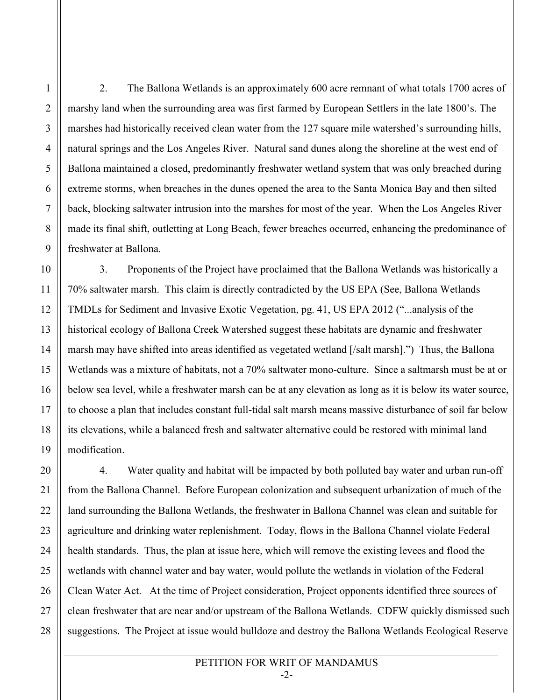2. The Ballona Wetlands is an approximately 600 acre remnant of what totals 1700 acres of marshy land when the surrounding area was first farmed by European Settlers in the late 1800's. The marshes had historically received clean water from the 127 square mile watershed's surrounding hills, natural springs and the Los Angeles River. Natural sand dunes along the shoreline at the west end of Ballona maintained a closed, predominantly freshwater wetland system that was only breached during extreme storms, when breaches in the dunes opened the area to the Santa Monica Bay and then silted back, blocking saltwater intrusion into the marshes for most of the year. When the Los Angeles River made its final shift, outletting at Long Beach, fewer breaches occurred, enhancing the predominance of freshwater at Ballona.

3. Proponents of the Project have proclaimed that the Ballona Wetlands was historically a 70% saltwater marsh. This claim is directly contradicted by the US EPA (See, Ballona Wetlands TMDLs for Sediment and Invasive Exotic Vegetation, pg. 41, US EPA 2012 ("...analysis of the historical ecology of Ballona Creek Watershed suggest these habitats are dynamic and freshwater marsh may have shifted into areas identified as vegetated wetland [/salt marsh].") Thus, the Ballona Wetlands was a mixture of habitats, not a 70% saltwater mono-culture. Since a saltmarsh must be at or below sea level, while a freshwater marsh can be at any elevation as long as it is below its water source, to choose a plan that includes constant full-tidal salt marsh means massive disturbance of soil far below its elevations, while a balanced fresh and saltwater alternative could be restored with minimal land modification.

4. Water quality and habitat will be impacted by both polluted bay water and urban run-off from the Ballona Channel. Before European colonization and subsequent urbanization of much of the land surrounding the Ballona Wetlands, the freshwater in Ballona Channel was clean and suitable for agriculture and drinking water replenishment. Today, flows in the Ballona Channel violate Federal health standards. Thus, the plan at issue here, which will remove the existing levees and flood the wetlands with channel water and bay water, would pollute the wetlands in violation of the Federal Clean Water Act. At the time of Project consideration, Project opponents identified three sources of clean freshwater that are near and/or upstream of the Ballona Wetlands. CDFW quickly dismissed such suggestions. The Project at issue would bulldoze and destroy the Ballona Wetlands Ecological Reserve

# PETITION FOR WRIT OF MANDAMUS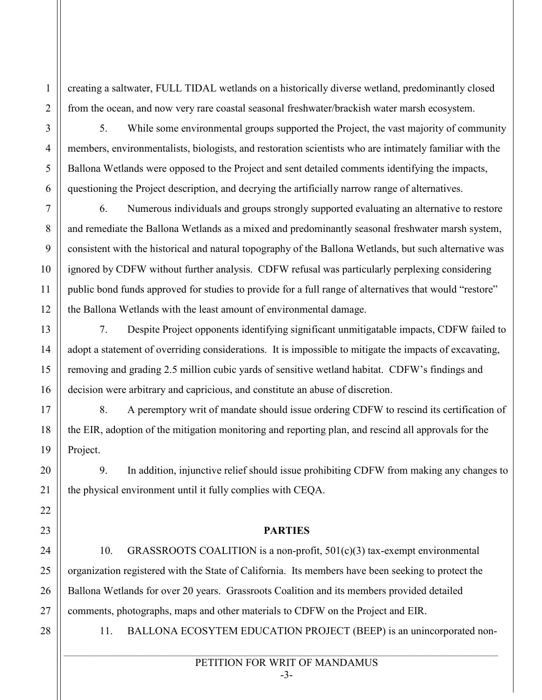creating a saltwater, FULL TIDAL wetlands on a historically diverse wetland, predominantly closed from the ocean, and now very rare coastal seasonal freshwater/brackish water marsh ecosystem.

3

4

5

6

7

8

9

10

11

12

13

14

15

16

17

18

19

20

21

22

23

24

25

26

27

28

1

2

5. While some environmental groups supported the Project, the vast majority of community members, environmentalists, biologists, and restoration scientists who are intimately familiar with the Ballona Wetlands were opposed to the Project and sent detailed comments identifying the impacts, questioning the Project description, and decrying the artificially narrow range of alternatives.

6. Numerous individuals and groups strongly supported evaluating an alternative to restore and remediate the Ballona Wetlands as a mixed and predominantly seasonal freshwater marsh system, consistent with the historical and natural topography of the Ballona Wetlands, but such alternative was ignored by CDFW without further analysis. CDFW refusal was particularly perplexing considering public bond funds approved for studies to provide for a full range of alternatives that would "restore" the Ballona Wetlands with the least amount of environmental damage.

7. Despite Project opponents identifying significant unmitigatable impacts, CDFW failed to adopt a statement of overriding considerations. It is impossible to mitigate the impacts of excavating, removing and grading 2.5 million cubic yards of sensitive wetland habitat. CDFW's findings and decision were arbitrary and capricious, and constitute an abuse of discretion.

8. A peremptory writ of mandate should issue ordering CDFW to rescind its certification of the EIR, adoption of the mitigation monitoring and reporting plan, and rescind all approvals for the Project.

9. In addition, injunctive relief should issue prohibiting CDFW from making any changes to the physical environment until it fully complies with CEQA.

### **PARTIES**

10. GRASSROOTS COALITION is a non-profit, 501(c)(3) tax-exempt environmental organization registered with the State of California. Its members have been seeking to protect the Ballona Wetlands for over 20 years. Grassroots Coalition and its members provided detailed comments, photographs, maps and other materials to CDFW on the Project and EIR.

11. BALLONA ECOSYTEM EDUCATION PROJECT (BEEP) is an unincorporated non-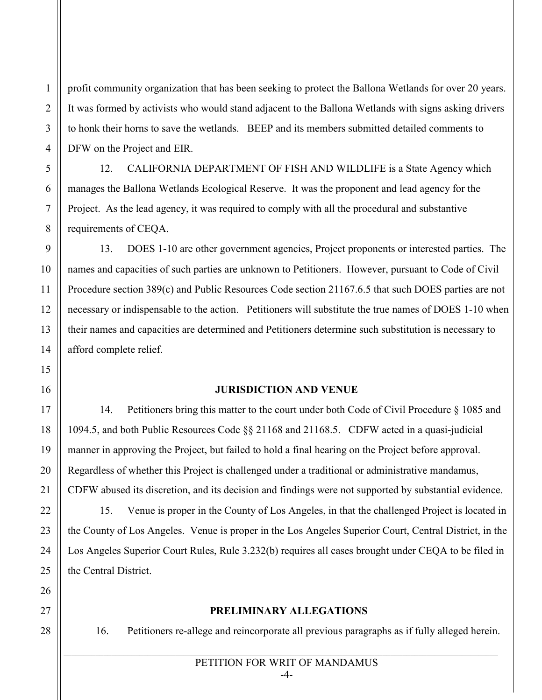profit community organization that has been seeking to protect the Ballona Wetlands for over 20 years. It was formed by activists who would stand adjacent to the Ballona Wetlands with signs asking drivers to honk their horns to save the wetlands. BEEP and its members submitted detailed comments to DFW on the Project and EIR.

12. CALIFORNIA DEPARTMENT OF FISH AND WILDLIFE is a State Agency which manages the Ballona Wetlands Ecological Reserve. It was the proponent and lead agency for the Project. As the lead agency, it was required to comply with all the procedural and substantive requirements of CEQA.

13. DOES 1-10 are other government agencies, Project proponents or interested parties. The names and capacities of such parties are unknown to Petitioners. However, pursuant to Code of Civil Procedure section 389(c) and Public Resources Code section 21167.6.5 that such DOES parties are not necessary or indispensable to the action. Petitioners will substitute the true names of DOES 1-10 when their names and capacities are determined and Petitioners determine such substitution is necessary to afford complete relief.

### **JURISDICTION AND VENUE**

14. Petitioners bring this matter to the court under both Code of Civil Procedure § 1085 and 1094.5, and both Public Resources Code §§ 21168 and 21168.5. CDFW acted in a quasi-judicial manner in approving the Project, but failed to hold a final hearing on the Project before approval. Regardless of whether this Project is challenged under a traditional or administrative mandamus, CDFW abused its discretion, and its decision and findings were not supported by substantial evidence.

15. Venue is proper in the County of Los Angeles, in that the challenged Project is located in the County of Los Angeles. Venue is proper in the Los Angeles Superior Court, Central District, in the Los Angeles Superior Court Rules, Rule 3.232(b) requires all cases brought under CEQA to be filed in the Central District.

### **PRELIMINARY ALLEGATIONS**

16. Petitioners re-allege and reincorporate all previous paragraphs as if fully alleged herein.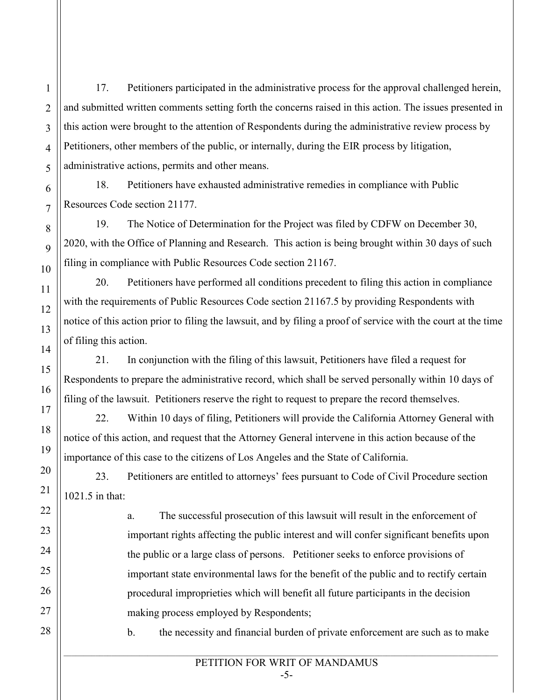17. Petitioners participated in the administrative process for the approval challenged herein, and submitted written comments setting forth the concerns raised in this action. The issues presented in this action were brought to the attention of Respondents during the administrative review process by Petitioners, other members of the public, or internally, during the EIR process by litigation, administrative actions, permits and other means.

18. Petitioners have exhausted administrative remedies in compliance with Public Resources Code section 21177.

19. The Notice of Determination for the Project was filed by CDFW on December 30, 2020, with the Office of Planning and Research. This action is being brought within 30 days of such filing in compliance with Public Resources Code section 21167.

20. Petitioners have performed all conditions precedent to filing this action in compliance with the requirements of Public Resources Code section 21167.5 by providing Respondents with notice of this action prior to filing the lawsuit, and by filing a proof of service with the court at the time of filing this action.

21. In conjunction with the filing of this lawsuit, Petitioners have filed a request for Respondents to prepare the administrative record, which shall be served personally within 10 days of filing of the lawsuit. Petitioners reserve the right to request to prepare the record themselves.

22. Within 10 days of filing, Petitioners will provide the California Attorney General with notice of this action, and request that the Attorney General intervene in this action because of the importance of this case to the citizens of Los Angeles and the State of California.

23. Petitioners are entitled to attorneys' fees pursuant to Code of Civil Procedure section 1021.5 in that:

> a. The successful prosecution of this lawsuit will result in the enforcement of important rights affecting the public interest and will confer significant benefits upon the public or a large class of persons. Petitioner seeks to enforce provisions of important state environmental laws for the benefit of the public and to rectify certain procedural improprieties which will benefit all future participants in the decision making process employed by Respondents;

b. the necessity and financial burden of private enforcement are such as to make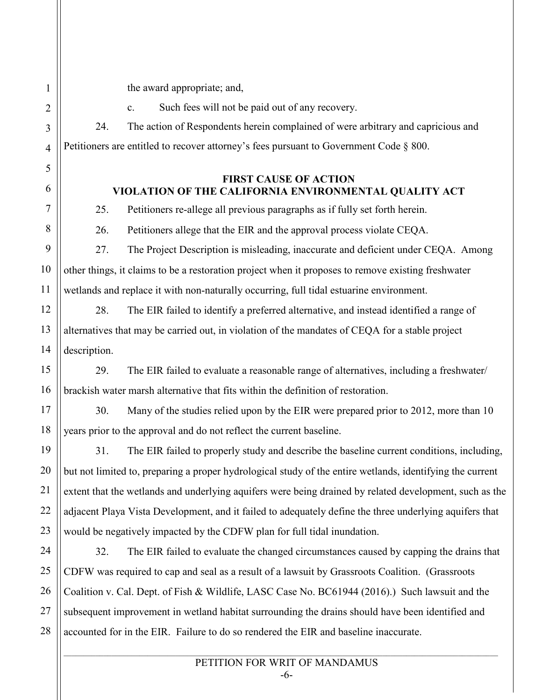the award appropriate; and,

c. Such fees will not be paid out of any recovery.

24. The action of Respondents herein complained of were arbitrary and capricious and Petitioners are entitled to recover attorney's fees pursuant to Government Code § 800.

### **FIRST CAUSE OF ACTION VIOLATION OF THE CALIFORNIA ENVIRONMENTAL QUALITY ACT**

25. Petitioners re-allege all previous paragraphs as if fully set forth herein.

26. Petitioners allege that the EIR and the approval process violate CEQA.

27. The Project Description is misleading, inaccurate and deficient under CEQA. Among other things, it claims to be a restoration project when it proposes to remove existing freshwater wetlands and replace it with non-naturally occurring, full tidal estuarine environment.

28. The EIR failed to identify a preferred alternative, and instead identified a range of alternatives that may be carried out, in violation of the mandates of CEQA for a stable project description.

29. The EIR failed to evaluate a reasonable range of alternatives, including a freshwater/ brackish water marsh alternative that fits within the definition of restoration.

30. Many of the studies relied upon by the EIR were prepared prior to 2012, more than 10 years prior to the approval and do not reflect the current baseline.

31. The EIR failed to properly study and describe the baseline current conditions, including, but not limited to, preparing a proper hydrological study of the entire wetlands, identifying the current extent that the wetlands and underlying aquifers were being drained by related development, such as the adjacent Playa Vista Development, and it failed to adequately define the three underlying aquifers that would be negatively impacted by the CDFW plan for full tidal inundation.

32. The EIR failed to evaluate the changed circumstances caused by capping the drains that CDFW was required to cap and seal as a result of a lawsuit by Grassroots Coalition. (Grassroots Coalition v. Cal. Dept. of Fish & Wildlife, LASC Case No. BC61944 (2016).) Such lawsuit and the subsequent improvement in wetland habitat surrounding the drains should have been identified and accounted for in the EIR. Failure to do so rendered the EIR and baseline inaccurate.

## PETITION FOR WRIT OF MANDAMUS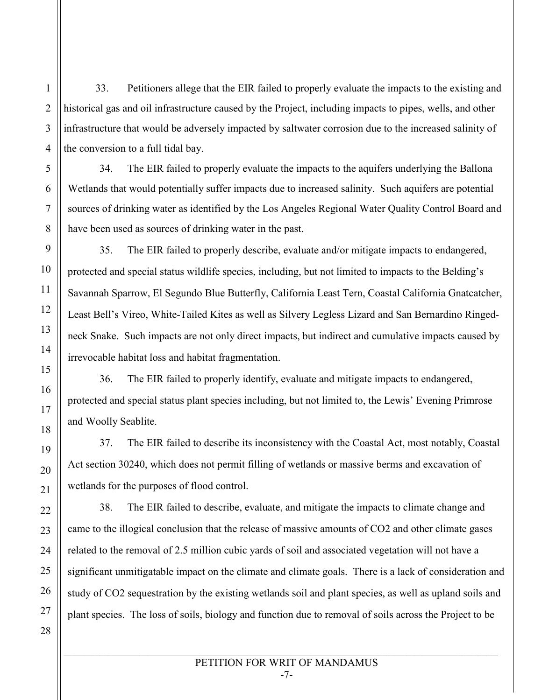33. Petitioners allege that the EIR failed to properly evaluate the impacts to the existing and historical gas and oil infrastructure caused by the Project, including impacts to pipes, wells, and other infrastructure that would be adversely impacted by saltwater corrosion due to the increased salinity of the conversion to a full tidal bay.

34. The EIR failed to properly evaluate the impacts to the aquifers underlying the Ballona Wetlands that would potentially suffer impacts due to increased salinity. Such aquifers are potential sources of drinking water as identified by the Los Angeles Regional Water Quality Control Board and have been used as sources of drinking water in the past.

35. The EIR failed to properly describe, evaluate and/or mitigate impacts to endangered, protected and special status wildlife species, including, but not limited to impacts to the Belding's Savannah Sparrow, El Segundo Blue Butterfly, California Least Tern, Coastal California Gnatcatcher, Least Bell's Vireo, White-Tailed Kites as well as Silvery Legless Lizard and San Bernardino Ringedneck Snake. Such impacts are not only direct impacts, but indirect and cumulative impacts caused by irrevocable habitat loss and habitat fragmentation.

36. The EIR failed to properly identify, evaluate and mitigate impacts to endangered, protected and special status plant species including, but not limited to, the Lewis' Evening Primrose and Woolly Seablite.

37. The EIR failed to describe its inconsistency with the Coastal Act, most notably, Coastal Act section 30240, which does not permit filling of wetlands or massive berms and excavation of wetlands for the purposes of flood control.

38. The EIR failed to describe, evaluate, and mitigate the impacts to climate change and came to the illogical conclusion that the release of massive amounts of CO2 and other climate gases related to the removal of 2.5 million cubic yards of soil and associated vegetation will not have a significant unmitigatable impact on the climate and climate goals. There is a lack of consideration and study of CO2 sequestration by the existing wetlands soil and plant species, as well as upland soils and plant species. The loss of soils, biology and function due to removal of soils across the Project to be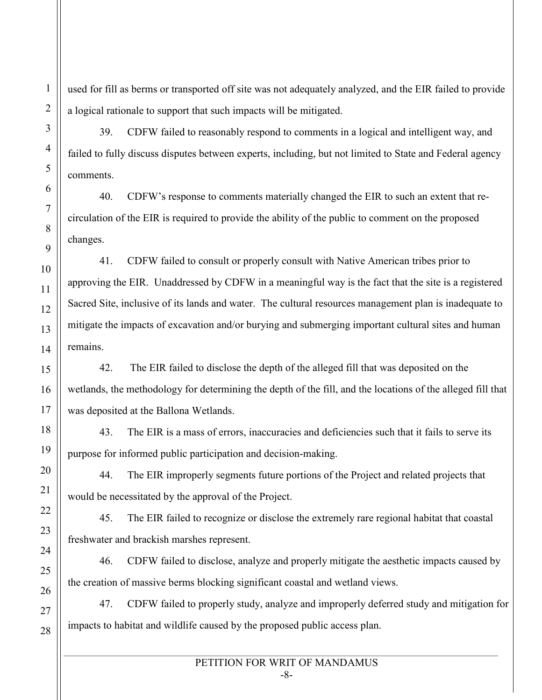used for fill as berms or transported off site was not adequately analyzed, and the EIR failed to provide a logical rationale to support that such impacts will be mitigated.

39. CDFW failed to reasonably respond to comments in a logical and intelligent way, and failed to fully discuss disputes between experts, including, but not limited to State and Federal agency comments.

40. CDFW's response to comments materially changed the EIR to such an extent that recirculation of the EIR is required to provide the ability of the public to comment on the proposed changes.

41. CDFW failed to consult or properly consult with Native American tribes prior to approving the EIR. Unaddressed by CDFW in a meaningful way is the fact that the site is a registered Sacred Site, inclusive of its lands and water. The cultural resources management plan is inadequate to mitigate the impacts of excavation and/or burying and submerging important cultural sites and human remains.

42. The EIR failed to disclose the depth of the alleged fill that was deposited on the wetlands, the methodology for determining the depth of the fill, and the locations of the alleged fill that was deposited at the Ballona Wetlands.

43. The EIR is a mass of errors, inaccuracies and deficiencies such that it fails to serve its purpose for informed public participation and decision-making.

44. The EIR improperly segments future portions of the Project and related projects that would be necessitated by the approval of the Project.

45. The EIR failed to recognize or disclose the extremely rare regional habitat that coastal freshwater and brackish marshes represent.

46. CDFW failed to disclose, analyze and properly mitigate the aesthetic impacts caused by the creation of massive berms blocking significant coastal and wetland views.

47. CDFW failed to properly study, analyze and improperly deferred study and mitigation for impacts to habitat and wildlife caused by the proposed public access plan.

#### PETITION FOR WRIT OF MANDAMUS -8-

1

2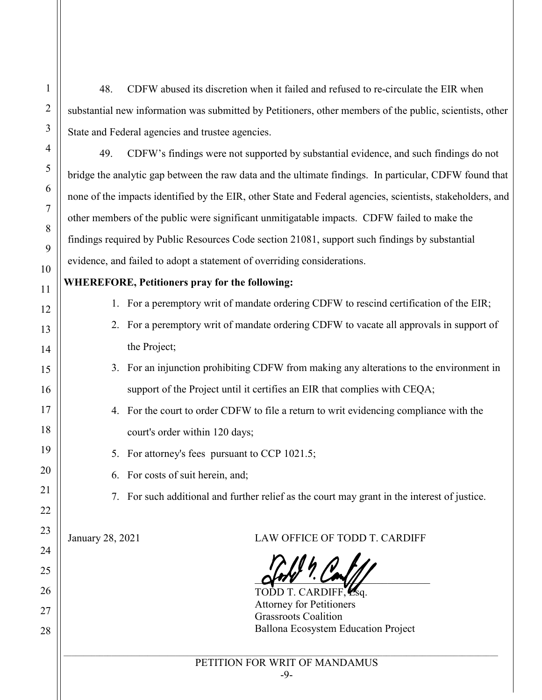48. CDFW abused its discretion when it failed and refused to re-circulate the EIR when substantial new information was submitted by Petitioners, other members of the public, scientists, other State and Federal agencies and trustee agencies.

49. CDFW's findings were not supported by substantial evidence, and such findings do not bridge the analytic gap between the raw data and the ultimate findings. In particular, CDFW found that none of the impacts identified by the EIR, other State and Federal agencies, scientists, stakeholders, and other members of the public were significant unmitigatable impacts. CDFW failed to make the findings required by Public Resources Code section 21081, support such findings by substantial evidence, and failed to adopt a statement of overriding considerations.

## **WHEREFORE, Petitioners pray for the following:**

- 1. For a peremptory writ of mandate ordering CDFW to rescind certification of the EIR;
- 2. For a peremptory writ of mandate ordering CDFW to vacate all approvals in support of the Project;
- 3. For an injunction prohibiting CDFW from making any alterations to the environment in support of the Project until it certifies an EIR that complies with CEQA;
- 4. For the court to order CDFW to file a return to writ evidencing compliance with the court's order within 120 days;
- 5. For attorney's fees pursuant to CCP 1021.5;
- 6. For costs of suit herein, and;
- 7. For such additional and further relief as the court may grant in the interest of justice.

January 28, 2021 LAW OFFICE OF TODD T. CARDIFF

 $\alpha$ *MV*  $\cdot$  *CM(|||* 

TODD T. CARDIFF, Esq. Attorney for Petitioners Grassroots Coalition Ballona Ecosystem Education Project

|                 | 1               |
|-----------------|-----------------|
|                 | $\overline{c}$  |
|                 | 3               |
|                 | 4               |
|                 | 5               |
|                 | 6               |
|                 | $\overline{7}$  |
|                 | 8               |
|                 | 9               |
|                 | 10              |
|                 | 11              |
|                 | 12              |
|                 | 13              |
|                 | 14              |
|                 | 15              |
|                 | 16              |
|                 | 17              |
|                 | 18              |
|                 | 19              |
|                 | $\overline{20}$ |
| $\overline{21}$ |                 |
| 2               | $\overline{c}$  |
| 23              |                 |
|                 | $\frac{24}{5}$  |
| 25              |                 |
|                 | 26              |
|                 | 27              |
|                 | 28              |
|                 |                 |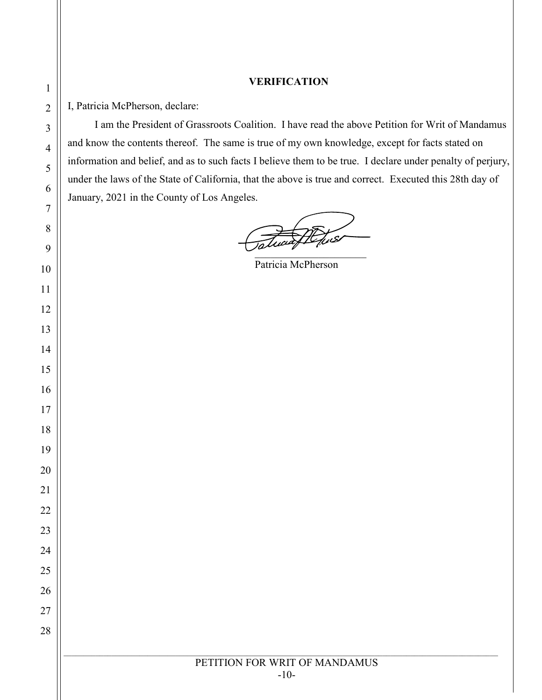### **VERIFICATION**

I, Patricia McPherson, declare:

 I am the President of Grassroots Coalition. I have read the above Petition for Writ of Mandamus and know the contents thereof. The same is true of my own knowledge, except for facts stated on information and belief, and as to such facts I believe them to be true. I declare under penalty of perjury, under the laws of the State of California, that the above is true and correct. Executed this 28th day of January, 2021 in the County of Los Angeles.

 $\overline{\phantom{a}}$ 

Patricia McPherson